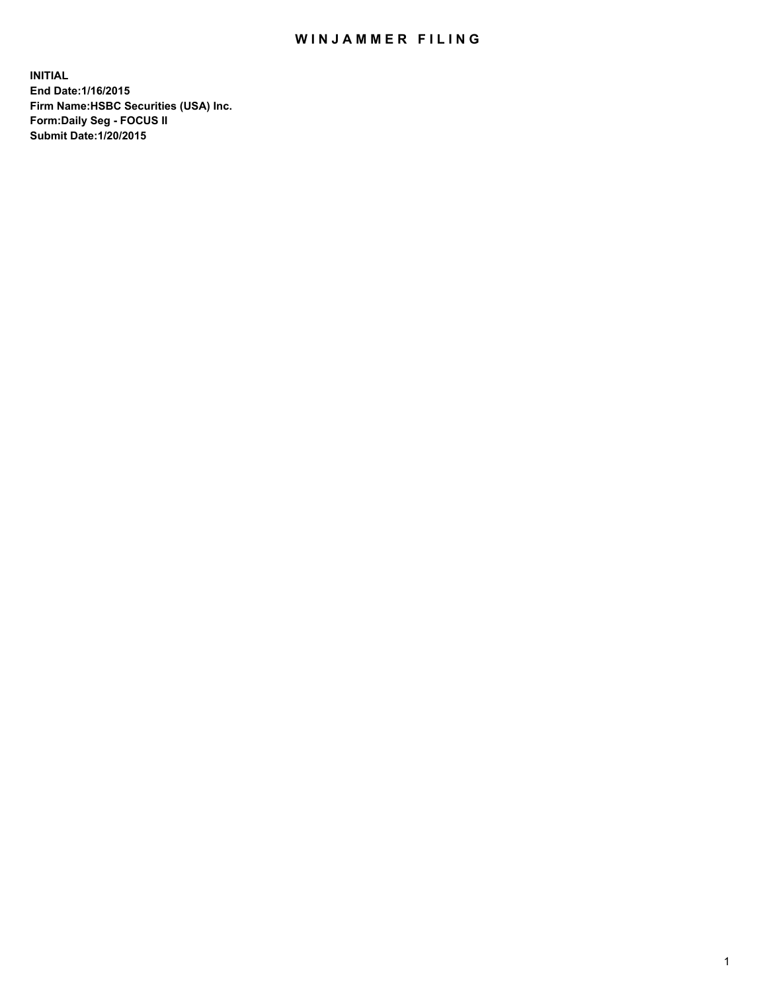## WIN JAMMER FILING

**INITIAL End Date:1/16/2015 Firm Name:HSBC Securities (USA) Inc. Form:Daily Seg - FOCUS II Submit Date:1/20/2015**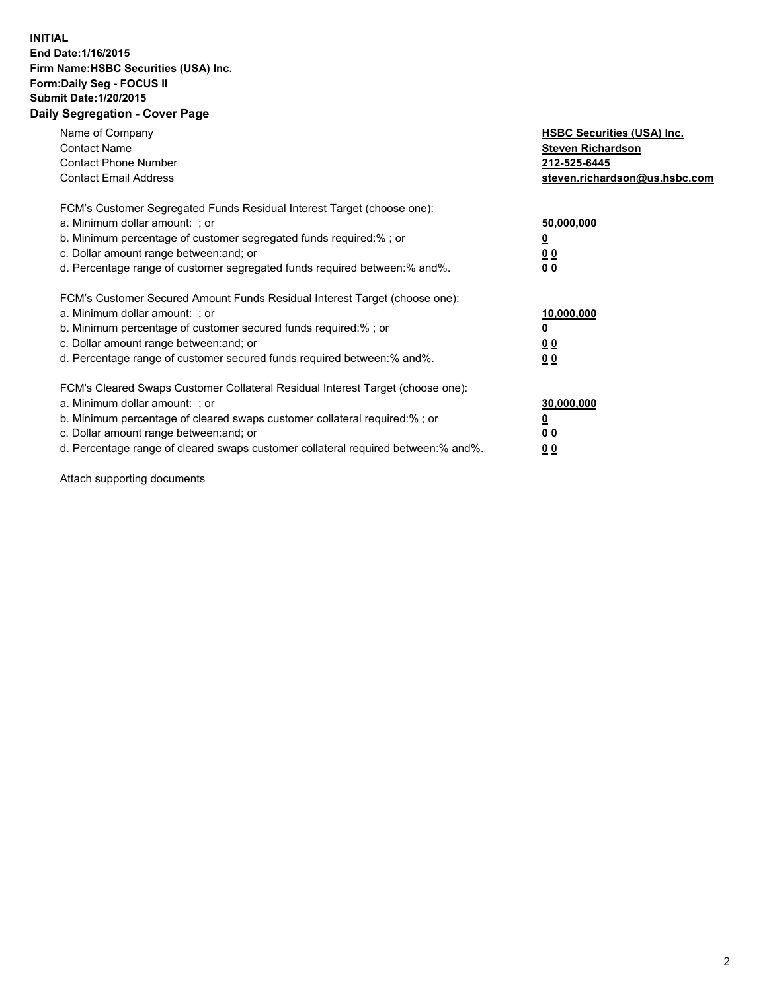## **INITIAL End Date:1/16/2015 Firm Name:HSBC Securities (USA) Inc. Form:Daily Seg - FOCUS II Submit Date:1/20/2015 Daily Segregation - Cover Page**

| Name of Company<br><b>Contact Name</b><br><b>Contact Phone Number</b><br><b>Contact Email Address</b>                                                                                                                                                                                                                          | <b>HSBC Securities (USA) Inc.</b><br><b>Steven Richardson</b><br>212-525-6445<br>steven.richardson@us.hsbc.com |
|--------------------------------------------------------------------------------------------------------------------------------------------------------------------------------------------------------------------------------------------------------------------------------------------------------------------------------|----------------------------------------------------------------------------------------------------------------|
| FCM's Customer Segregated Funds Residual Interest Target (choose one):<br>a. Minimum dollar amount: ; or<br>b. Minimum percentage of customer segregated funds required:%; or<br>c. Dollar amount range between: and; or<br>d. Percentage range of customer segregated funds required between: % and %.                        | 50,000,000<br>0 <sub>0</sub><br>0 <sub>0</sub>                                                                 |
| FCM's Customer Secured Amount Funds Residual Interest Target (choose one):<br>a. Minimum dollar amount: ; or<br>b. Minimum percentage of customer secured funds required:%; or<br>c. Dollar amount range between: and; or<br>d. Percentage range of customer secured funds required between:% and%.                            | 10,000,000<br><u>0</u><br>0 <sub>0</sub><br>0 <sub>0</sub>                                                     |
| FCM's Cleared Swaps Customer Collateral Residual Interest Target (choose one):<br>a. Minimum dollar amount: ; or<br>b. Minimum percentage of cleared swaps customer collateral required:% ; or<br>c. Dollar amount range between: and; or<br>d. Percentage range of cleared swaps customer collateral required between:% and%. | 30,000,000<br>00<br><u>00</u>                                                                                  |

Attach supporting documents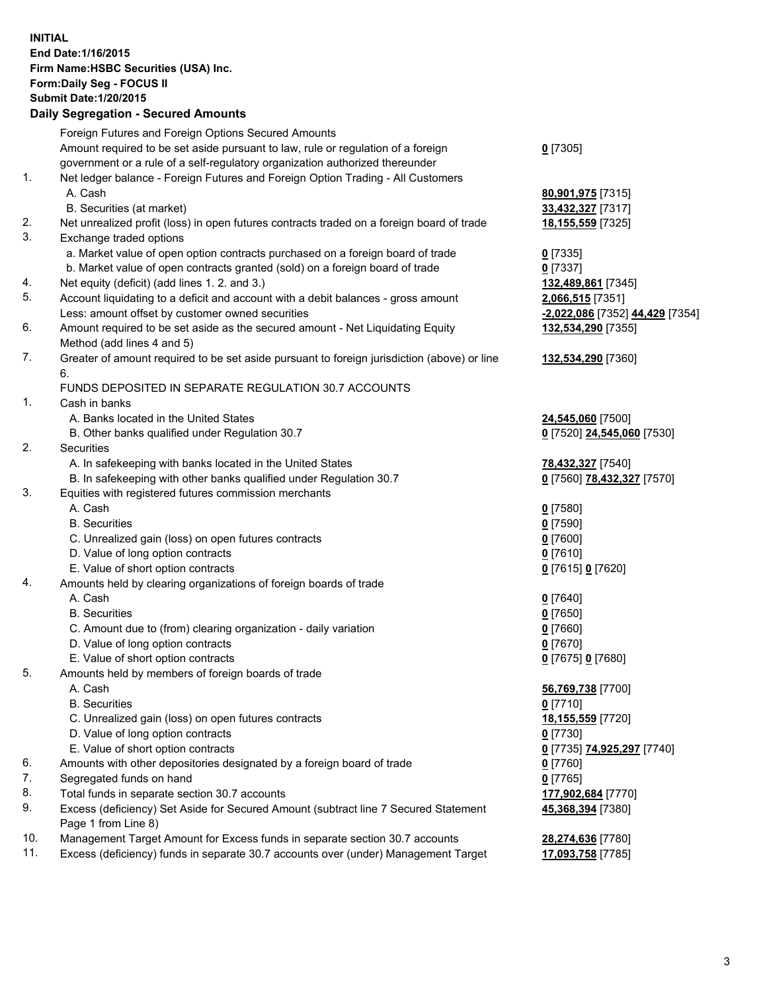**INITIAL End Date:1/16/2015 Firm Name:HSBC Securities (USA) Inc. Form:Daily Seg - FOCUS II Submit Date:1/20/2015 Daily Segregation - Secured Amounts** Foreign Futures and Foreign Options Secured Amounts Amount required to be set aside pursuant to law, rule or regulation of a foreign government or a rule of a self-regulatory organization authorized thereunder 1. Net ledger balance - Foreign Futures and Foreign Option Trading - All Customers A. Cash **80,901,975** [7315] B. Securities (at market) **33,432,327** [7317] 2. Net unrealized profit (loss) in open futures contracts traded on a foreign board of trade **18,155,559** [7325] 3. Exchange traded options a. Market value of open option contracts purchased on a foreign board of trade **0** [7335] b. Market value of open contracts granted (sold) on a foreign board of trade **0** [7337] 4. Net equity (deficit) (add lines 1. 2. and 3.) **132,489,861** [7345] 5. Account liquidating to a deficit and account with a debit balances - gross amount **2,066,515** [7351] Less: amount offset by customer owned securities **-2,022,086** [7352] **44,429** [7354] 6. Amount required to be set aside as the secured amount - Net Liquidating Equity Method (add lines 4 and 5) 7. Greater of amount required to be set aside pursuant to foreign jurisdiction (above) or line 6. FUNDS DEPOSITED IN SEPARATE REGULATION 30.7 ACCOUNTS 1. Cash in banks A. Banks located in the United States **24,545,060** [7500] B. Other banks qualified under Regulation 30.7 **0** [7520] **24,545,060** [7530] 2. Securities A. In safekeeping with banks located in the United States **78,432,327** [7540] B. In safekeeping with other banks qualified under Regulation 30.7 **0** [7560] **78,432,327** [7570] 3. Equities with registered futures commission merchants A. Cash **0** [7580]

**0** [7305]

**132,534,290** [7355]

**132,534,290** [7360]

**45,368,394** [7380]

- B. Securities **0** [7590]
- C. Unrealized gain (loss) on open futures contracts **0** [7600]
- D. Value of long option contracts **0** [7610]
- E. Value of short option contracts **0** [7615] **0** [7620]
- 4. Amounts held by clearing organizations of foreign boards of trade
	- A. Cash **0** [7640]
	- B. Securities **0** [7650]
	- C. Amount due to (from) clearing organization daily variation **0** [7660]
	- D. Value of long option contracts **0** [7670]
	- E. Value of short option contracts **0** [7675] **0** [7680]
- 5. Amounts held by members of foreign boards of trade
	- A. Cash **56,769,738** [7700]
	- B. Securities **0** [7710]
	- C. Unrealized gain (loss) on open futures contracts **18,155,559** [7720]
	- D. Value of long option contracts **0** [7730]
	- E. Value of short option contracts **0** [7735] **74,925,297** [7740]
- 6. Amounts with other depositories designated by a foreign board of trade **0** [7760]
- 7. Segregated funds on hand **0** [7765]
- 8. Total funds in separate section 30.7 accounts **177,902,684** [7770]
- 9. Excess (deficiency) Set Aside for Secured Amount (subtract line 7 Secured Statement Page 1 from Line 8)
- 10. Management Target Amount for Excess funds in separate section 30.7 accounts **28,274,636** [7780]
- 11. Excess (deficiency) funds in separate 30.7 accounts over (under) Management Target **17,093,758** [7785]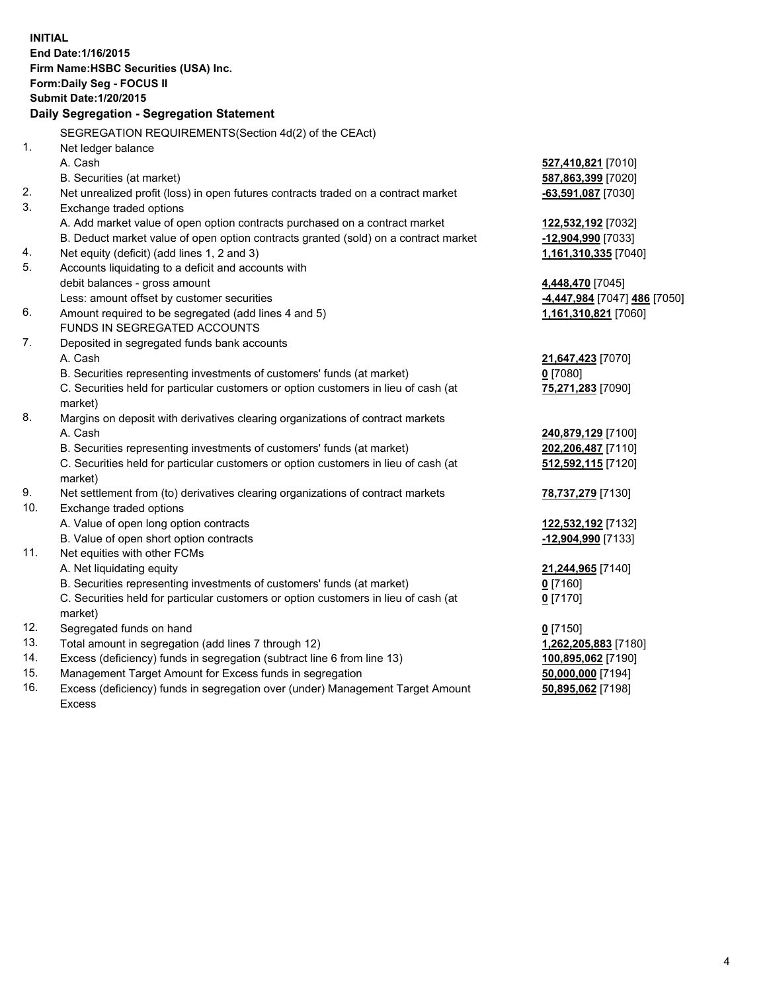| <b>INITIAL</b>                            | End Date: 1/16/2015<br>Firm Name: HSBC Securities (USA) Inc.<br>Form: Daily Seg - FOCUS II                    |                               |  |  |
|-------------------------------------------|---------------------------------------------------------------------------------------------------------------|-------------------------------|--|--|
| <b>Submit Date: 1/20/2015</b>             |                                                                                                               |                               |  |  |
| Daily Segregation - Segregation Statement |                                                                                                               |                               |  |  |
|                                           |                                                                                                               |                               |  |  |
| 1.                                        | SEGREGATION REQUIREMENTS(Section 4d(2) of the CEAct)                                                          |                               |  |  |
|                                           | Net ledger balance<br>A. Cash                                                                                 |                               |  |  |
|                                           |                                                                                                               | 527,410,821 [7010]            |  |  |
| 2.                                        | B. Securities (at market)                                                                                     | 587,863,399 [7020]            |  |  |
| 3.                                        | Net unrealized profit (loss) in open futures contracts traded on a contract market<br>Exchange traded options | -63,591,087 [7030]            |  |  |
|                                           | A. Add market value of open option contracts purchased on a contract market                                   | 122,532,192 <sub>[7032]</sub> |  |  |
|                                           | B. Deduct market value of open option contracts granted (sold) on a contract market                           | -12,904,990 [7033]            |  |  |
| 4.                                        | Net equity (deficit) (add lines 1, 2 and 3)                                                                   | 1,161,310,335 [7040]          |  |  |
| 5.                                        | Accounts liquidating to a deficit and accounts with                                                           |                               |  |  |
|                                           | debit balances - gross amount                                                                                 | 4,448,470 [7045]              |  |  |
|                                           | Less: amount offset by customer securities                                                                    | -4,447,984 [7047] 486 [7050]  |  |  |
| 6.                                        | Amount required to be segregated (add lines 4 and 5)                                                          | 1,161,310,821 [7060]          |  |  |
|                                           | FUNDS IN SEGREGATED ACCOUNTS                                                                                  |                               |  |  |
| 7.                                        | Deposited in segregated funds bank accounts                                                                   |                               |  |  |
|                                           | A. Cash                                                                                                       | 21,647,423 [7070]             |  |  |
|                                           | B. Securities representing investments of customers' funds (at market)                                        | $0$ [7080]                    |  |  |
|                                           | C. Securities held for particular customers or option customers in lieu of cash (at<br>market)                | 75,271,283 [7090]             |  |  |
| 8.                                        | Margins on deposit with derivatives clearing organizations of contract markets                                |                               |  |  |
|                                           | A. Cash                                                                                                       | 240,879,129 [7100]            |  |  |
|                                           | B. Securities representing investments of customers' funds (at market)                                        | 202,206,487 [7110]            |  |  |
|                                           | C. Securities held for particular customers or option customers in lieu of cash (at<br>market)                | 512,592,115 [7120]            |  |  |
| 9.                                        | Net settlement from (to) derivatives clearing organizations of contract markets                               | 78,737,279 [7130]             |  |  |
| 10.                                       | Exchange traded options                                                                                       |                               |  |  |
|                                           | A. Value of open long option contracts                                                                        | 122,532,192 <sub>[7132]</sub> |  |  |
|                                           | B. Value of open short option contracts                                                                       | -12,904,990 [7133]            |  |  |
| 11.                                       | Net equities with other FCMs                                                                                  |                               |  |  |
|                                           | A. Net liquidating equity                                                                                     | 21,244,965 [7140]             |  |  |
|                                           | B. Securities representing investments of customers' funds (at market)                                        | $0$ [7160]                    |  |  |
|                                           | C. Securities held for particular customers or option customers in lieu of cash (at<br>market)                | $0$ [7170]                    |  |  |
| 12.                                       | Segregated funds on hand                                                                                      | $0$ [7150]                    |  |  |
| 13.                                       | Total amount in segregation (add lines 7 through 12)                                                          | 1,262,205,883 [7180]          |  |  |
| 14.                                       | Excess (deficiency) funds in segregation (subtract line 6 from line 13)                                       | 100,895,062 [7190]            |  |  |
| 15.                                       | Management Target Amount for Excess funds in segregation                                                      | 50,000,000 [7194]             |  |  |
| 16.                                       | Excess (deficiency) funds in segregation over (under) Management Target Amount                                | 50,895,062 [7198]             |  |  |

16. Excess (deficiency) funds in segregation over (under) Management Target Amount Excess